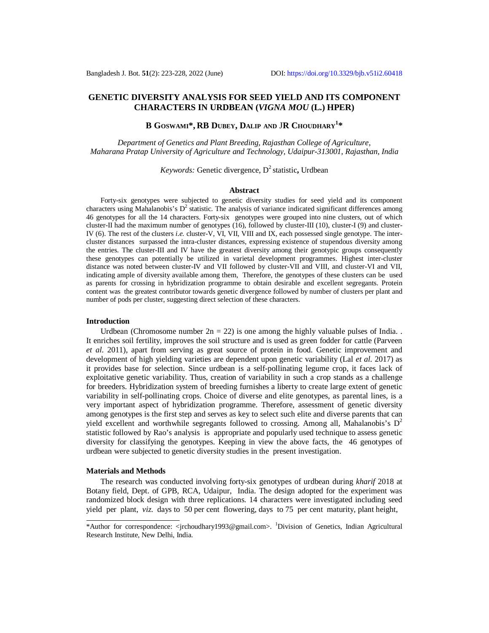# **GENETIC DIVERSITY ANALYSIS FOR SEED YIELD AND ITS COMPONENT CHARACTERS IN URDBEAN (***VIGNA MOU* **(L.) HPER)**

# **B GOSWAMI\*, RB DUBEY, DALIP AND** J**R CHOUDHARY<sup>1</sup> \***

*Department of Genetics and Plant Breeding, Rajasthan College of Agriculture, Maharana Pratap University of Agriculture and Technology, Udaipur-313001, Rajasthan, India*

# *Keywords:* Genetic divergence,  $D^2$  statistic, Urdbean

### **Abstract**

Forty-six genotypes were subjected to genetic diversity studies for seed yield and its component characters using Mahalanobis's  $D^2$  statistic. The analysis of variance indicated significant differences among 46 genotypes for all the 14 characters. Forty-six genotypes were grouped into nine clusters, out of which cluster-II had the maximum number of genotypes (16), followed by cluster-III (10), cluster-I (9) and cluster-IV (6). The rest of the clusters *i.e.* cluster-V, VI, VII, VIII and IX, each possessed single genotype. The intercluster distances surpassed the intra-cluster distances, expressing existence of stupendous diversity among the entries. The cluster-III and IV have the greatest diversity among their genotypic groups consequently these genotypes can potentially be utilized in varietal development programmes. Highest inter-cluster distance was noted between cluster-IV and VII followed by cluster-VII and VIII, and cluster-VI and VII, indicating ample of diversity available among them, Therefore, the genotypes of these clusters can be used as parents for crossing in hybridization programme to obtain desirable and excellent segregants. Protein content was the greatest contributor towards genetic divergence followed by number of clusters per plant and number of pods per cluster, suggesting direct selection of these characters.

## **Introduction**

Urdbean (Chromosome number  $2n = 22$ ) is one among the highly valuable pulses of India. It enriches soil fertility, improves the soil structure and is used as green fodder for cattle (Parveen *et al*. 2011), apart from serving as great source of protein in food. Genetic improvement and development of high yielding varieties are dependent upon genetic variability (Lal *et al*. 2017) as it provides base for selection. Since urdbean is a self-pollinating legume crop, it faces lack of exploitative genetic variability. Thus, creation of variability in such a crop stands as a challenge for breeders. Hybridization system of breeding furnishes a liberty to create large extent of genetic variability in self-pollinating crops. Choice of diverse and elite genotypes, as parental lines, is a very important aspect of hybridization programme. Therefore, assessment of genetic diversity among genotypes is the first step and serves as key to select such elite and diverse parents that can yield excellent and worthwhile segregants followed to crossing. Among all, Mahalanobis's  $D^2$ statistic followed by Rao's analysis is appropriate and popularly used technique to assess genetic diversity for classifying the genotypes. Keeping in view the above facts, the 46 genotypes of urdbean were subjected to genetic diversity studies in the present investigation.

### **Materials and Methods**

The research was conducted involving forty-six genotypes of urdbean during *kharif* 2018 at Botany field, Dept. of GPB, RCA, Udaipur, India. The design adopted for the experiment was randomized block design with three replications. 14 characters were investigated including seed yield per plant, *viz*. days to 50 per cent flowering, days to 75 per cent maturity, plant height,

<sup>\*</sup>Author for correspondence: [<jrchoudhary1993@gmail.com](mailto:jrchoudhary1993@gmail.com)>. <sup>1</sup>Division of Genetics, Indian Agricultural Research Institute, New Delhi, India.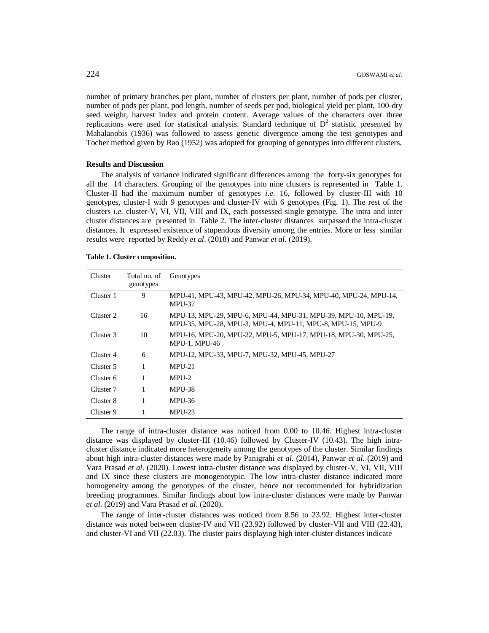number of primary branches per plant, number of clusters per plant, number of pods per cluster, number of pods per plant, pod length, number of seeds per pod, biological yield per plant, 100-dry seed weight, harvest index and protein content. Average values of the characters over three replications were used for statistical analysis. Standard technique of  $D<sup>2</sup>$  statistic presented by Mahalanobis (1936) was followed to assess genetic divergence among the test genotypes and Tocher method given by Rao (1952) was adopted for grouping of genotypes into different clusters.

### **Results and Discussion**

The analysis of variance indicated significant differences among the forty-six genotypes for all the 14 characters. Grouping of the genotypes into nine clusters is represented in Table 1. Cluster-II had the maximum number of genotypes *i.e.* 16, followed by cluster-III with 10 genotypes, cluster-I with 9 genotypes and cluster-IV with 6 genotypes (Fig. 1). The rest of the clusters *i.e.* cluster-V, VI, VII, VIII and IX, each possessed single genotype. The intra and inter cluster distances are presented in Table 2. The inter-cluster distances surpassed the intra-cluster distances. It expressed existence of stupendous diversity among the entries. More or less similar results were reported by Reddy *et al*. (2018) and Panwar *et al*. (2019).

| Table 1. Cluster composition. |  |
|-------------------------------|--|
|-------------------------------|--|

| Cluster   | Total no. of<br>genotypes | Genotypes                                                                                                                    |
|-----------|---------------------------|------------------------------------------------------------------------------------------------------------------------------|
| Cluster 1 | 9                         | MPU-41, MPU-43, MPU-42, MPU-26, MPU-34, MPU-40, MPU-24, MPU-14,<br><b>MPU-37</b>                                             |
| Cluster 2 | 16                        | MPU-13, MPU-29, MPU-6, MPU-44, MPU-31, MPU-39, MPU-10, MPU-19,<br>MPU-35, MPU-28, MPU-3, MPU-4, MPU-11, MPU-8, MPU-15, MPU-9 |
| Cluster 3 | 10                        | MPU-16, MPU-20, MPU-22, MPU-5, MPU-17, MPU-18, MPU-30, MPU-25,<br><b>MPU-1. MPU-46</b>                                       |
| Cluster 4 | 6                         | MPU-12, MPU-33, MPU-7, MPU-32, MPU-45, MPU-27                                                                                |
| Cluster 5 |                           | $MPU-21$                                                                                                                     |
| Cluster 6 |                           | MPU-2                                                                                                                        |
| Cluster 7 |                           | <b>MPU-38</b>                                                                                                                |
| Cluster 8 | 1                         | <b>MPU-36</b>                                                                                                                |
| Cluster 9 |                           | $MPU-23$                                                                                                                     |

The range of intra-cluster distance was noticed from 0.00 to 10.46. Highest intra-cluster distance was displayed by cluster-III (10.46) followed by Cluster-IV (10.43). The high intracluster distance indicated more heterogeneity among the genotypes of the cluster. Similar findings about high intra-cluster distances were made by Panigrahi *et al*. (2014), Panwar *et al*. (2019) and Vara Prasad *et al*. (2020). Lowest intra-cluster distance was displayed by cluster-V, VI, VII, VIII and IX since these clusters are monogenotypic. The low intra-cluster distance indicated more homogeneity among the genotypes of the cluster, hence not recommended for hybridization breeding programmes. Similar findings about low intra-cluster distances were made by Panwar *et al*. (2019) and Vara Prasad *et al*. (2020).

The range of inter-cluster distances was noticed from 8.56 to 23.92. Highest inter-cluster distance was noted between cluster-IV and VII (23.92) followed by cluster-VII and VIII (22.43), and cluster-VI and VII (22.03). The cluster pairs displaying high inter-cluster distances indicate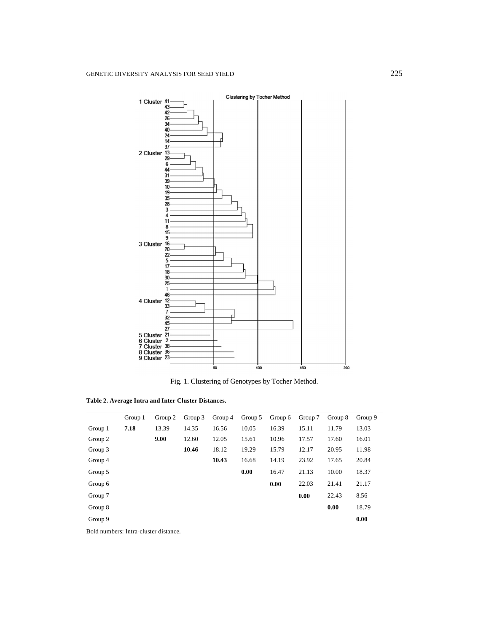

Fig. 1. Clustering of Genotypes by Tocher Method.

| Table 2. Average Intra and Inter Cluster Distances. |  |  |  |
|-----------------------------------------------------|--|--|--|
|-----------------------------------------------------|--|--|--|

|         | Group 1 | Group 2 | Group 3 | Group 4 | Group 5 | Group 6 | Group 7 | Group 8 | Group 9 |
|---------|---------|---------|---------|---------|---------|---------|---------|---------|---------|
| Group 1 | 7.18    | 13.39   | 14.35   | 16.56   | 10.05   | 16.39   | 15.11   | 11.79   | 13.03   |
| Group 2 |         | 9.00    | 12.60   | 12.05   | 15.61   | 10.96   | 17.57   | 17.60   | 16.01   |
| Group 3 |         |         | 10.46   | 18.12   | 19.29   | 15.79   | 12.17   | 20.95   | 11.98   |
| Group 4 |         |         |         | 10.43   | 16.68   | 14.19   | 23.92   | 17.65   | 20.84   |
| Group 5 |         |         |         |         | 0.00    | 16.47   | 21.13   | 10.00   | 18.37   |
| Group 6 |         |         |         |         |         | 0.00    | 22.03   | 21.41   | 21.17   |
| Group 7 |         |         |         |         |         |         | 0.00    | 22.43   | 8.56    |
| Group 8 |         |         |         |         |         |         |         | 0.00    | 18.79   |
| Group 9 |         |         |         |         |         |         |         |         | 0.00    |

Bold numbers: Intra-cluster distance.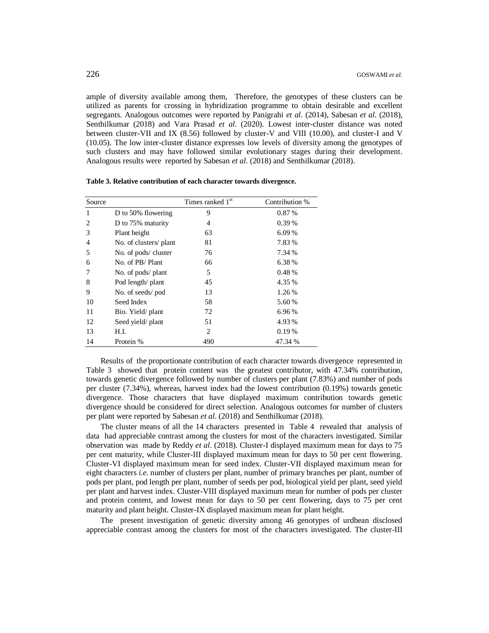ample of diversity available among them, Therefore, the genotypes of these clusters can be utilized as parents for crossing in hybridization programme to obtain desirable and excellent segregants. Analogous outcomes were reported by Panigrahi *et al*. (2014), Sabesan *et al*. (2018), Senthilkumar (2018) and Vara Prasad *et al*. (2020). Lowest inter-cluster distance was noted between cluster-VII and IX (8.56) followed by cluster-V and VIII (10.00), and cluster-I and V (10.05). The low inter-cluster distance expresses low levels of diversity among the genotypes of such clusters and may have followed similar evolutionary stages during their development. Analogous results were reported by Sabesan *et al*. (2018) and Senthilkumar (2018).

| Source |                        | Times ranked 1 <sup>st</sup> | Contribution % |
|--------|------------------------|------------------------------|----------------|
| 1      | D to 50% flowering     | 9                            | 0.87%          |
| 2      | D to 75% maturity      | 4                            | $0.39\%$       |
| 3      | Plant height           | 63                           | 6.09%          |
| 4      | No. of clusters/ plant | 81                           | 7.83 %         |
| 5      | No. of pods/cluster    | 76                           | 7.34 %         |
| 6      | No. of PB/Plant        | 66                           | 6.38%          |
|        | No. of pods/ plant     | 5                            | 0.48%          |
| 8      | Pod length/ plant      | 45                           | 4.35 %         |
| 9      | No. of seeds/pod       | 13                           | 1.26 %         |
| 10     | Seed Index             | 58                           | 5.60 %         |
| 11     | Bio. Yield/plant       | 72                           | 6.96 %         |
| 12     | Seed yield/plant       | 51                           | 4.93 %         |
| 13     | H.I.                   | $\overline{c}$               | 0.19%          |
| 14     | Protein %              | 490                          | 47.34 %        |

**Table 3. Relative contribution of each character towards divergence.**

Results of the proportionate contribution of each character towards divergence represented in Table 3 showed that protein content was the greatest contributor, with 47.34% contribution, towards genetic divergence followed by number of clusters per plant (7.83%) and number of pods per cluster (7.34%), whereas, harvest index had the lowest contribution (0.19%) towards genetic divergence. Those characters that have displayed maximum contribution towards genetic divergence should be considered for direct selection. Analogous outcomes for number of clusters per plant were reported by Sabesan *et al*. (2018) and Senthilkumar (2018).

The cluster means of all the 14 characters presented in Table 4 revealed that analysis of data had appreciable contrast among the clusters for most of the characters investigated. Similar observation was made by Reddy *et al*. (2018). Cluster-I displayed maximum mean for days to 75 per cent maturity, while Cluster-III displayed maximum mean for days to 50 per cent flowering. Cluster-VI displayed maximum mean for seed index. Cluster-VII displayed maximum mean for eight characters *i.e.* number of clusters per plant, number of primary branches per plant, number of pods per plant, pod length per plant, number of seeds per pod, biological yield per plant, seed yield per plant and harvest index. Cluster-VIII displayed maximum mean for number of pods per cluster and protein content, and lowest mean for days to 50 per cent flowering, days to 75 per cent maturity and plant height. Cluster-IX displayed maximum mean for plant height.

The present investigation of genetic diversity among 46 genotypes of urdbean disclosed appreciable contrast among the clusters for most of the characters investigated. The cluster-III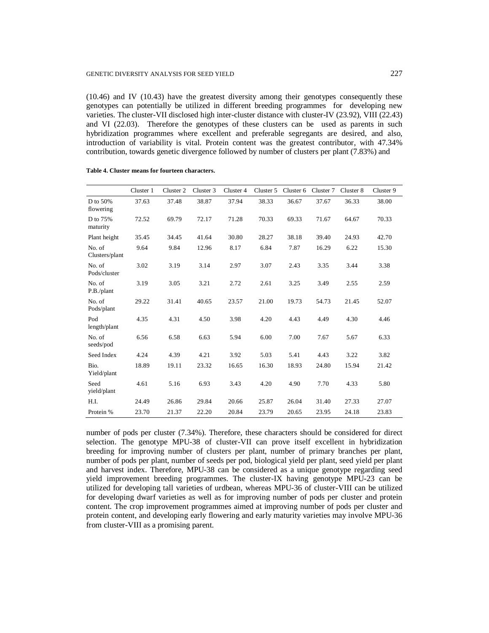(10.46) and IV (10.43) have the greatest diversity among their genotypes consequently these genotypes can potentially be utilized in different breeding programmes for developing new varieties. The cluster-VII disclosed high inter-cluster distance with cluster-IV (23.92), VIII (22.43) and VI (22.03). Therefore the genotypes of these clusters can be used as parents in such hybridization programmes where excellent and preferable segregants are desired, and also, introduction of variability is vital. Protein content was the greatest contributor, with 47.34% contribution, towards genetic divergence followed by number of clusters per plant (7.83%) and

|                          | Cluster 1 | Cluster 2 | Cluster 3 | Cluster 4 | Cluster 5 | Cluster 6 | Cluster 7 | Cluster 8 | Cluster 9 |
|--------------------------|-----------|-----------|-----------|-----------|-----------|-----------|-----------|-----------|-----------|
| D to 50%<br>flowering    | 37.63     | 37.48     | 38.87     | 37.94     | 38.33     | 36.67     | 37.67     | 36.33     | 38.00     |
| D to 75%<br>maturity     | 72.52     | 69.79     | 72.17     | 71.28     | 70.33     | 69.33     | 71.67     | 64.67     | 70.33     |
| Plant height             | 35.45     | 34.45     | 41.64     | 30.80     | 28.27     | 38.18     | 39.40     | 24.93     | 42.70     |
| No. of<br>Clusters/plant | 9.64      | 9.84      | 12.96     | 8.17      | 6.84      | 7.87      | 16.29     | 6.22      | 15.30     |
| No. of<br>Pods/cluster   | 3.02      | 3.19      | 3.14      | 2.97      | 3.07      | 2.43      | 3.35      | 3.44      | 3.38      |
| No. of<br>P.B./plant     | 3.19      | 3.05      | 3.21      | 2.72      | 2.61      | 3.25      | 3.49      | 2.55      | 2.59      |
| No. of<br>Pods/plant     | 29.22     | 31.41     | 40.65     | 23.57     | 21.00     | 19.73     | 54.73     | 21.45     | 52.07     |
| Pod<br>length/plant      | 4.35      | 4.31      | 4.50      | 3.98      | 4.20      | 4.43      | 4.49      | 4.30      | 4.46      |
| No. of<br>seeds/pod      | 6.56      | 6.58      | 6.63      | 5.94      | 6.00      | 7.00      | 7.67      | 5.67      | 6.33      |
| Seed Index               | 4.24      | 4.39      | 4.21      | 3.92      | 5.03      | 5.41      | 4.43      | 3.22      | 3.82      |
| Bio.<br>Yield/plant      | 18.89     | 19.11     | 23.32     | 16.65     | 16.30     | 18.93     | 24.80     | 15.94     | 21.42     |
| Seed<br>yield/plant      | 4.61      | 5.16      | 6.93      | 3.43      | 4.20      | 4.90      | 7.70      | 4.33      | 5.80      |
| H.I.                     | 24.49     | 26.86     | 29.84     | 20.66     | 25.87     | 26.04     | 31.40     | 27.33     | 27.07     |
| Protein %                | 23.70     | 21.37     | 22.20     | 20.84     | 23.79     | 20.65     | 23.95     | 24.18     | 23.83     |

**Table 4. Cluster means for fourteen characters.**

number of pods per cluster (7.34%). Therefore, these characters should be considered for direct selection. The genotype MPU-38 of cluster-VII can prove itself excellent in hybridization breeding for improving number of clusters per plant, number of primary branches per plant, number of pods per plant, number of seeds per pod, biological yield per plant, seed yield per plant and harvest index. Therefore, MPU-38 can be considered as a unique genotype regarding seed yield improvement breeding programmes. The cluster-IX having genotype MPU-23 can be utilized for developing tall varieties of urdbean, whereas MPU-36 of cluster-VIII can be utilized for developing dwarf varieties as well as for improving number of pods per cluster and protein content. The crop improvement programmes aimed at improving number of pods per cluster and protein content, and developing early flowering and early maturity varieties may involve MPU-36 from cluster-VIII as a promising parent.